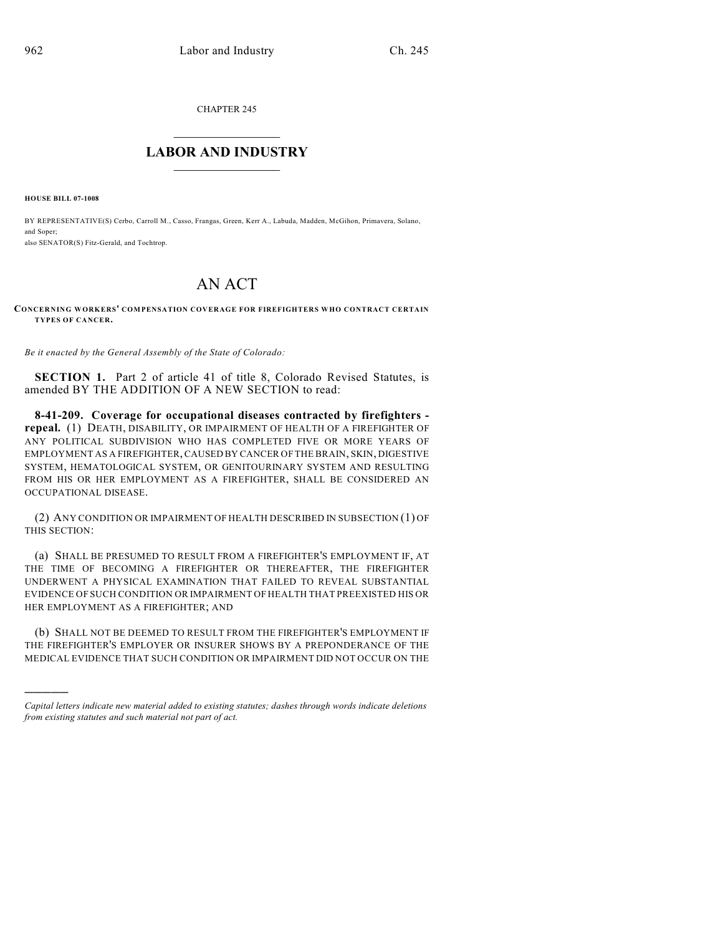CHAPTER 245

## $\mathcal{L}_\text{max}$  . The set of the set of the set of the set of the set of the set of the set of the set of the set of the set of the set of the set of the set of the set of the set of the set of the set of the set of the set **LABOR AND INDUSTRY**  $\frac{1}{\sqrt{2}}$  ,  $\frac{1}{\sqrt{2}}$  ,  $\frac{1}{\sqrt{2}}$  ,  $\frac{1}{\sqrt{2}}$  ,  $\frac{1}{\sqrt{2}}$  ,  $\frac{1}{\sqrt{2}}$

**HOUSE BILL 07-1008**

)))))

BY REPRESENTATIVE(S) Cerbo, Carroll M., Casso, Frangas, Green, Kerr A., Labuda, Madden, McGihon, Primavera, Solano, and Soper;

also SENATOR(S) Fitz-Gerald, and Tochtrop.

## AN ACT

**CONCERNING WORKERS' COMPENSATION COVERAGE FOR FIREFIGHTERS WHO CONTRACT CERTAIN TYPES OF CANCER.**

*Be it enacted by the General Assembly of the State of Colorado:*

**SECTION 1.** Part 2 of article 41 of title 8, Colorado Revised Statutes, is amended BY THE ADDITION OF A NEW SECTION to read:

**8-41-209. Coverage for occupational diseases contracted by firefighters repeal.** (1) DEATH, DISABILITY, OR IMPAIRMENT OF HEALTH OF A FIREFIGHTER OF ANY POLITICAL SUBDIVISION WHO HAS COMPLETED FIVE OR MORE YEARS OF EMPLOYMENT AS A FIREFIGHTER, CAUSED BY CANCER OF THE BRAIN, SKIN, DIGESTIVE SYSTEM, HEMATOLOGICAL SYSTEM, OR GENITOURINARY SYSTEM AND RESULTING FROM HIS OR HER EMPLOYMENT AS A FIREFIGHTER, SHALL BE CONSIDERED AN OCCUPATIONAL DISEASE.

(2) ANY CONDITION OR IMPAIRMENT OF HEALTH DESCRIBED IN SUBSECTION (1) OF THIS SECTION:

(a) SHALL BE PRESUMED TO RESULT FROM A FIREFIGHTER'S EMPLOYMENT IF, AT THE TIME OF BECOMING A FIREFIGHTER OR THEREAFTER, THE FIREFIGHTER UNDERWENT A PHYSICAL EXAMINATION THAT FAILED TO REVEAL SUBSTANTIAL EVIDENCE OF SUCH CONDITION OR IMPAIRMENT OF HEALTH THAT PREEXISTED HIS OR HER EMPLOYMENT AS A FIREFIGHTER; AND

(b) SHALL NOT BE DEEMED TO RESULT FROM THE FIREFIGHTER'S EMPLOYMENT IF THE FIREFIGHTER'S EMPLOYER OR INSURER SHOWS BY A PREPONDERANCE OF THE MEDICAL EVIDENCE THAT SUCH CONDITION OR IMPAIRMENT DID NOT OCCUR ON THE

*Capital letters indicate new material added to existing statutes; dashes through words indicate deletions from existing statutes and such material not part of act.*